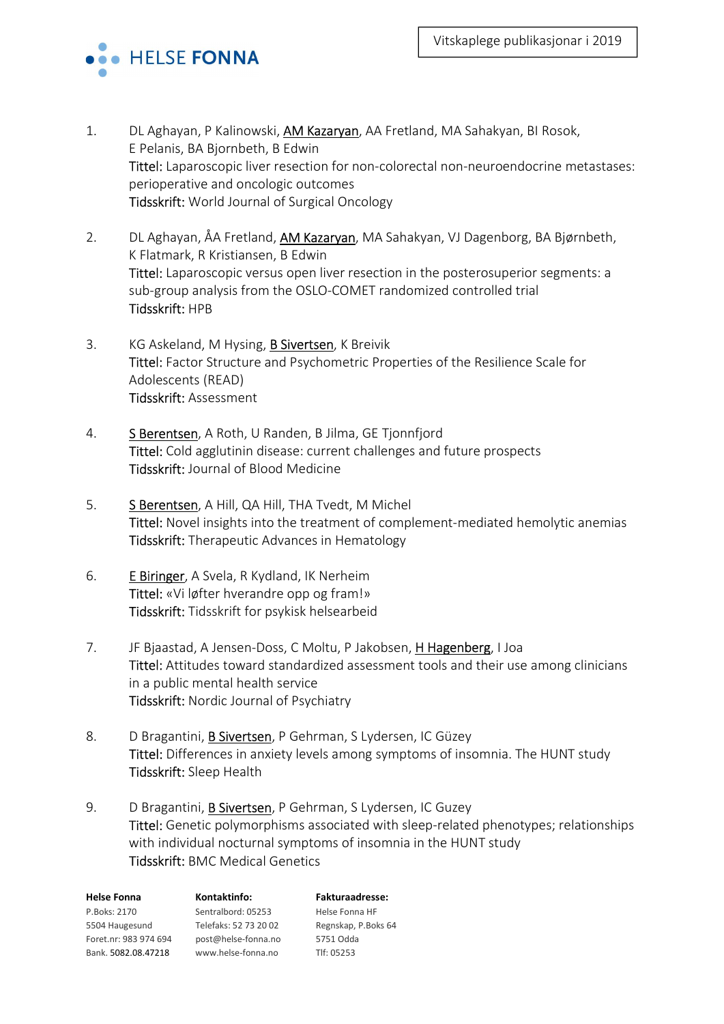

- 1. DL Aghayan, P Kalinowski, AM Kazaryan, AA Fretland, MA Sahakyan, BI Rosok, E Pelanis, BA Bjornbeth, B Edwin Tittel: Laparoscopic liver resection for non-colorectal non-neuroendocrine metastases: perioperative and oncologic outcomes Tidsskrift: World Journal of Surgical Oncology
- 2. DL Aghayan, ÅA Fretland, AM Kazaryan, MA Sahakyan, VJ Dagenborg, BA Bjørnbeth, K Flatmark, R Kristiansen, B Edwin Tittel: Laparoscopic versus open liver resection in the posterosuperior segments: a sub-group analysis from the OSLO-COMET randomized controlled trial Tidsskrift: HPB
- 3. KG Askeland, M Hysing, B Sivertsen, K Breivik Tittel: Factor Structure and Psychometric Properties of the Resilience Scale for Adolescents (READ) Tidsskrift: Assessment
- 4. S Berentsen, A Roth, U Randen, B Jilma, GE Tjonnfjord Tittel: Cold agglutinin disease: current challenges and future prospects Tidsskrift: Journal of Blood Medicine
- 5. S Berentsen, A Hill, QA Hill, THA Tvedt, M Michel Tittel: Novel insights into the treatment of complement-mediated hemolytic anemias Tidsskrift: Therapeutic Advances in Hematology
- 6. E Biringer, A Svela, R Kydland, IK Nerheim Tittel: «Vi løfter hverandre opp og fram!» Tidsskrift: Tidsskrift for psykisk helsearbeid
- 7. JF Bjaastad, A Jensen-Doss, C Moltu, P Jakobsen, H Hagenberg, I Joa Tittel: Attitudes toward standardized assessment tools and their use among clinicians in a public mental health service Tidsskrift: Nordic Journal of Psychiatry
- 8. D Bragantini, **B Sivertsen**, P Gehrman, S Lydersen, IC Güzey Tittel: Differences in anxiety levels among symptoms of insomnia. The HUNT study Tidsskrift: Sleep Health
- 9. D Bragantini, **B Sivertsen**, P Gehrman, S Lydersen, IC Guzey Tittel: Genetic polymorphisms associated with sleep-related phenotypes; relationships with individual nocturnal symptoms of insomnia in the HUNT study Tidsskrift: BMC Medical Genetics

| <b>Helse Fonna</b>    | Kontaktinfo:          | <b>Fakturaadresse:</b> |
|-----------------------|-----------------------|------------------------|
| P.Boks: 2170          | Sentralbord: 05253    | Helse Fonna HF         |
| 5504 Haugesund        | Telefaks: 52 73 20 02 | Regnskap, P.Boks 64    |
| Foret.nr: 983 974 694 | post@helse-fonna.no   | 5751 Odda              |
| Bank. 5082.08.47218   | www.helse-fonna.no    | Tlf: 05253             |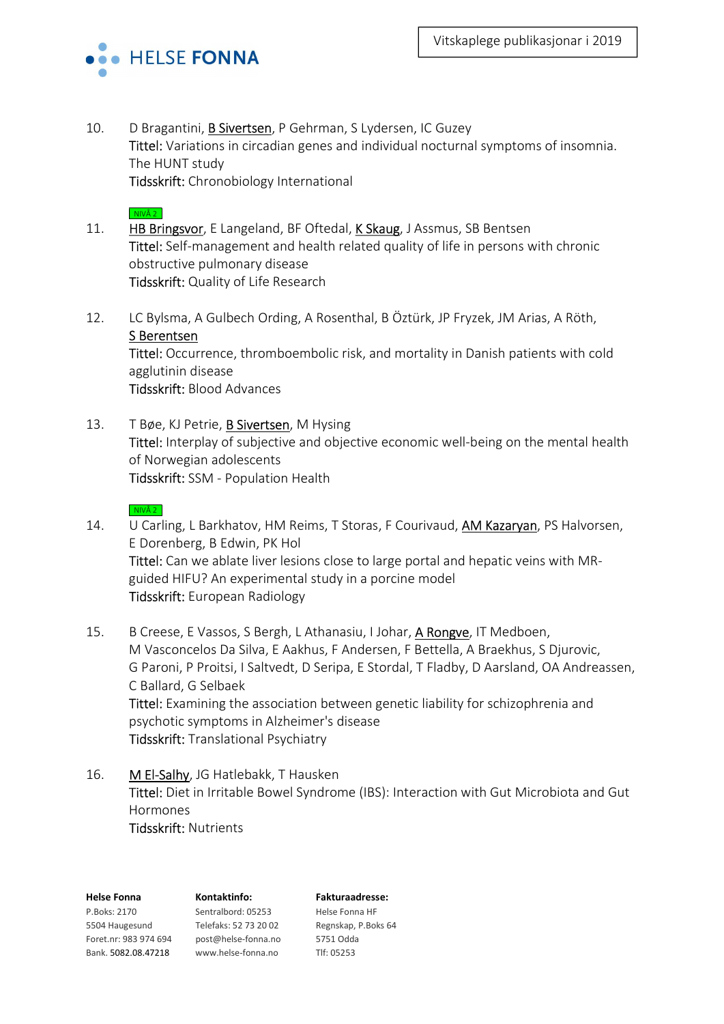

10. D Bragantini, **B Sivertsen**, P Gehrman, S Lydersen, IC Guzey Tittel: Variations in circadian genes and individual nocturnal symptoms of insomnia. The HUNT study Tidsskrift: Chronobiology International

# $NIVÅ 2$

- 11. HB Bringsvor, E Langeland, BF Oftedal, K Skaug, J Assmus, SB Bentsen Tittel: Self-management and health related quality of life in persons with chronic obstructive pulmonary disease Tidsskrift: Quality of Life Research
- 12. LC Bylsma, A Gulbech Ording, A Rosenthal, B Öztürk, JP Fryzek, JM Arias, A Röth, S Berentsen Tittel: Occurrence, thromboembolic risk, and mortality in Danish patients with cold agglutinin disease Tidsskrift: Blood Advances
- 13. T Bøe, KJ Petrie, B Sivertsen, M Hysing Tittel: Interplay of subjective and objective economic well-being on the mental health of Norwegian adolescents Tidsskrift: SSM - Population Health

### $NINÅ 2$

- 14. U Carling, L Barkhatov, HM Reims, T Storas, F Courivaud, AM Kazaryan, PS Halvorsen, E Dorenberg, B Edwin, PK Hol Tittel: Can we ablate liver lesions close to large portal and hepatic veins with MRguided HIFU? An experimental study in a porcine model Tidsskrift: European Radiology
- 15. B Creese, E Vassos, S Bergh, L Athanasiu, I Johar, A Rongve, IT Medboen, M Vasconcelos Da Silva, E Aakhus, F Andersen, F Bettella, A Braekhus, S Djurovic, G Paroni, P Proitsi, I Saltvedt, D Seripa, E Stordal, T Fladby, D Aarsland, OA Andreassen, C Ballard, G Selbaek Tittel: Examining the association between genetic liability for schizophrenia and psychotic symptoms in Alzheimer's disease Tidsskrift: Translational Psychiatry
- 16. M El-Salhy, JG Hatlebakk, T Hausken Tittel: Diet in Irritable Bowel Syndrome (IBS): Interaction with Gut Microbiota and Gut Hormones Tidsskrift: Nutrients

| <b>Helse Fonna</b>    | Kontaktinfo:          | <b>Fakturaa</b>   |
|-----------------------|-----------------------|-------------------|
| P.Boks: 2170          | Sentralbord: 05253    | <b>Helse Fonr</b> |
| 5504 Haugesund        | Telefaks: 52 73 20 02 | Regnskap,         |
| Foret.nr: 983 974 694 | post@helse-fonna.no   | 5751 Odda         |
| Bank. 5082.08.47218   | www.helse-fonna.no    | Tlf: 05253        |

# Fakturaadresse:

Helse Fonna HF Regnskap, P.Boks 64 5751 Odda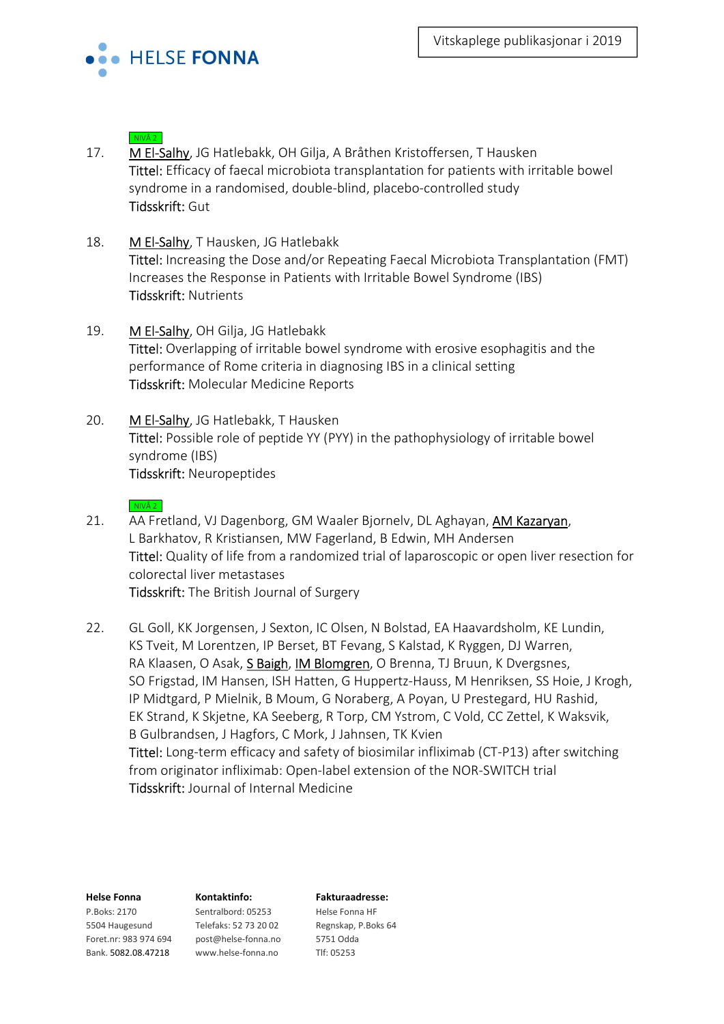

- 17. M El-Salhy, JG Hatlebakk, OH Gilja, A Bråthen Kristoffersen, T Hausken Tittel: Efficacy of faecal microbiota transplantation for patients with irritable bowel syndrome in a randomised, double-blind, placebo-controlled study Tidsskrift: Gut
- 18. M El-Salhy, T Hausken, JG Hatlebakk Tittel: Increasing the Dose and/or Repeating Faecal Microbiota Transplantation (FMT) Increases the Response in Patients with Irritable Bowel Syndrome (IBS) Tidsskrift: Nutrients
- 19. M El-Salhy, OH Gilja, JG Hatlebakk Tittel: Overlapping of irritable bowel syndrome with erosive esophagitis and the performance of Rome criteria in diagnosing IBS in a clinical setting Tidsskrift: Molecular Medicine Reports
- 20. M El-Salhy, JG Hatlebakk, T Hausken Tittel: Possible role of peptide YY (PYY) in the pathophysiology of irritable bowel syndrome (IBS) Tidsskrift: Neuropeptides

# $NIVÅ 2$

- 21. AA Fretland, VJ Dagenborg, GM Waaler Bjornelv, DL Aghayan, AM Kazaryan, L Barkhatov, R Kristiansen, MW Fagerland, B Edwin, MH Andersen Tittel: Quality of life from a randomized trial of laparoscopic or open liver resection for colorectal liver metastases Tidsskrift: The British Journal of Surgery
- 22. GL Goll, KK Jorgensen, J Sexton, IC Olsen, N Bolstad, EA Haavardsholm, KE Lundin, KS Tveit, M Lorentzen, IP Berset, BT Fevang, S Kalstad, K Ryggen, DJ Warren, RA Klaasen, O Asak, S Baigh, IM Blomgren, O Brenna, TJ Bruun, K Dvergsnes, SO Frigstad, IM Hansen, ISH Hatten, G Huppertz-Hauss, M Henriksen, SS Hoie, J Krogh, IP Midtgard, P Mielnik, B Moum, G Noraberg, A Poyan, U Prestegard, HU Rashid, EK Strand, K Skjetne, KA Seeberg, R Torp, CM Ystrom, C Vold, CC Zettel, K Waksvik, B Gulbrandsen, J Hagfors, C Mork, J Jahnsen, TK Kvien Tittel: Long-term efficacy and safety of biosimilar infliximab (CT-P13) after switching from originator infliximab: Open-label extension of the NOR-SWITCH trial Tidsskrift: Journal of Internal Medicine

P.Boks: 2170 Sentralbord: 05253 Helse Fonna HF 5504 Haugesund Telefaks: 52 73 20 02 Regnskap, P.Boks 64 Foret.nr: 983 974 694 post@helse-fonna.no 5751 Odda Bank. 5082.08.47218 www.helse-fonna.no Tlf: 05253

## Helse Fonna Kontaktinfo: Fakturaadresse: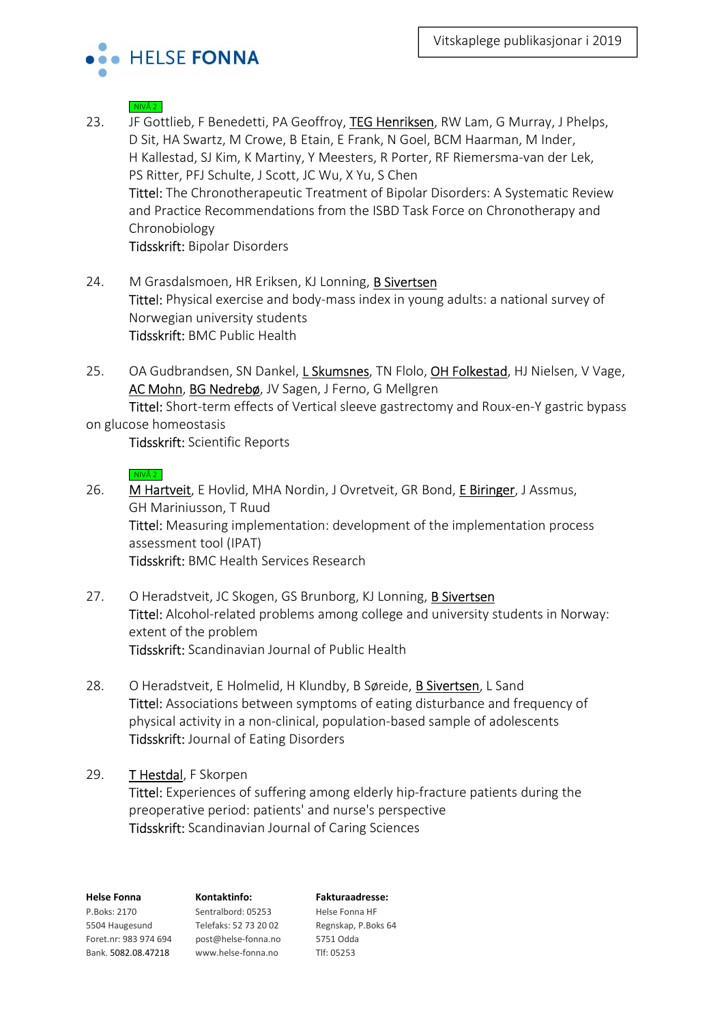

- 23. JF Gottlieb, F Benedetti, PA Geoffroy, TEG Henriksen, RW Lam, G Murray, J Phelps, D Sit, HA Swartz, M Crowe, B Etain, E Frank, N Goel, BCM Haarman, M Inder, H Kallestad, SJ Kim, K Martiny, Y Meesters, R Porter, RF Riemersma-van der Lek, PS Ritter, PFJ Schulte, J Scott, JC Wu, X Yu, S Chen Tittel: The Chronotherapeutic Treatment of Bipolar Disorders: A Systematic Review and Practice Recommendations from the ISBD Task Force on Chronotherapy and Chronobiology Tidsskrift: Bipolar Disorders
- 24. M Grasdalsmoen, HR Eriksen, KJ Lonning, B Sivertsen Tittel: Physical exercise and body-mass index in young adults: a national survey of Norwegian university students Tidsskrift: BMC Public Health
- 25. OA Gudbrandsen, SN Dankel, L Skumsnes, TN Flolo, OH Folkestad, HJ Nielsen, V Vage, AC Mohn, BG Nedrebø, JV Sagen, J Ferno, G Mellgren Tittel: Short-term effects of Vertical sleeve gastrectomy and Roux-en-Y gastric bypass

# on glucose homeostasis

Tidsskrift: Scientific Reports

## $NIVÅ 2$

- 26. M Hartveit, E Hovlid, MHA Nordin, J Ovretveit, GR Bond, E Biringer, J Assmus, GH Mariniusson, T Ruud Tittel: Measuring implementation: development of the implementation process assessment tool (IPAT) Tidsskrift: BMC Health Services Research
- 27. O Heradstveit, JC Skogen, GS Brunborg, KJ Lonning, B Sivertsen Tittel: Alcohol-related problems among college and university students in Norway: extent of the problem Tidsskrift: Scandinavian Journal of Public Health
- 28. O Heradstveit, E Holmelid, H Klundby, B Søreide, B Sivertsen, L Sand Tittel: Associations between symptoms of eating disturbance and frequency of physical activity in a non-clinical, population-based sample of adolescents Tidsskrift: Journal of Eating Disorders

# 29. THestdal, F Skorpen

Tittel: Experiences of suffering among elderly hip-fracture patients during the preoperative period: patients' and nurse's perspective Tidsskrift: Scandinavian Journal of Caring Sciences

| <b>Helse Fonna</b>    | Kontaktinfo:          | <b>Fakturaadresse:</b> |
|-----------------------|-----------------------|------------------------|
| P.Boks: 2170          | Sentralbord: 05253    | Helse Fonna HF         |
| 5504 Haugesund        | Telefaks: 52 73 20 02 | Regnskap, P.Boks 64    |
| Foret.nr: 983 974 694 | post@helse-fonna.no   | 5751 Odda              |
| Bank. 5082.08.47218   | www.helse-fonna.no    | Tlf: 05253             |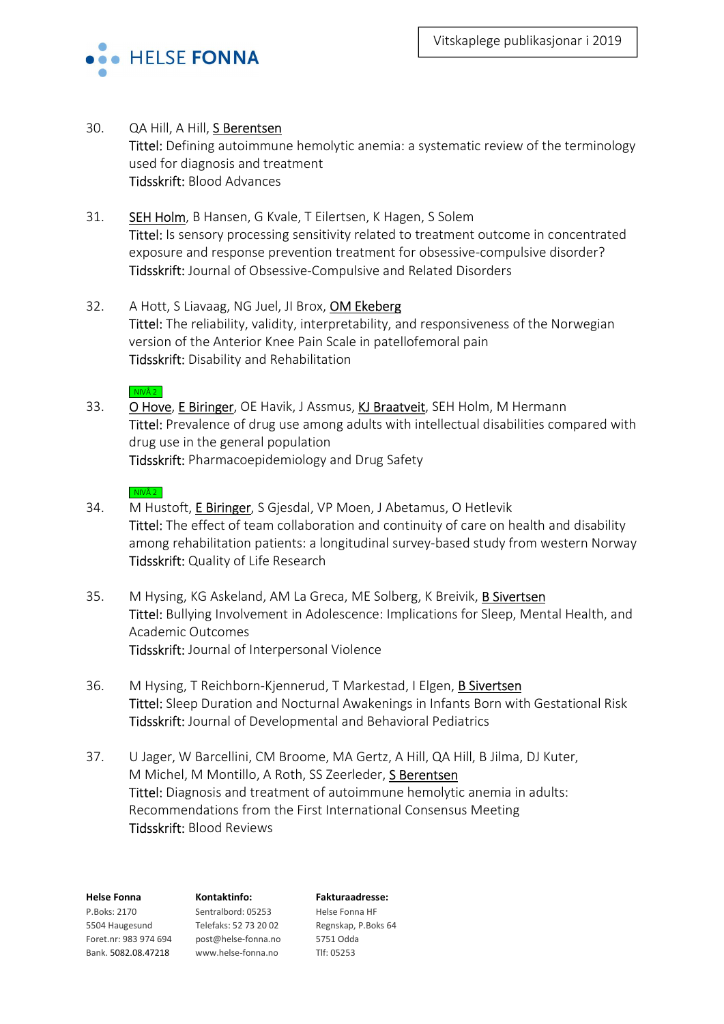

30. QA Hill, A Hill, S Berentsen

Tittel: Defining autoimmune hemolytic anemia: a systematic review of the terminology used for diagnosis and treatment Tidsskrift: Blood Advances

- 31. SEH Holm, B Hansen, G Kvale, T Eilertsen, K Hagen, S Solem Tittel: Is sensory processing sensitivity related to treatment outcome in concentrated exposure and response prevention treatment for obsessive-compulsive disorder? Tidsskrift: Journal of Obsessive-Compulsive and Related Disorders
- 32. A Hott, S Liavaag, NG Juel, JI Brox, OM Ekeberg Tittel: The reliability, validity, interpretability, and responsiveness of the Norwegian version of the Anterior Knee Pain Scale in patellofemoral pain Tidsskrift: Disability and Rehabilitation
	- $NIVÅ 2$
- 33. O Hove, E Biringer, OE Havik, J Assmus, KJ Braatveit, SEH Holm, M Hermann Tittel: Prevalence of drug use among adults with intellectual disabilities compared with drug use in the general population Tidsskrift: Pharmacoepidemiology and Drug Safety
	- $NIVÅ 2$
- 34. M Hustoft, E Biringer, S Gjesdal, VP Moen, J Abetamus, O Hetlevik Tittel: The effect of team collaboration and continuity of care on health and disability among rehabilitation patients: a longitudinal survey-based study from western Norway Tidsskrift: Quality of Life Research
- 35. M Hysing, KG Askeland, AM La Greca, ME Solberg, K Breivik, B Sivertsen Tittel: Bullying Involvement in Adolescence: Implications for Sleep, Mental Health, and Academic Outcomes Tidsskrift: Journal of Interpersonal Violence
- 36. M Hysing, T Reichborn-Kjennerud, T Markestad, I Elgen, B Sivertsen Tittel: Sleep Duration and Nocturnal Awakenings in Infants Born with Gestational Risk Tidsskrift: Journal of Developmental and Behavioral Pediatrics
- 37. U Jager, W Barcellini, CM Broome, MA Gertz, A Hill, QA Hill, B Jilma, DJ Kuter, M Michel, M Montillo, A Roth, SS Zeerleder, S Berentsen Tittel: Diagnosis and treatment of autoimmune hemolytic anemia in adults: Recommendations from the First International Consensus Meeting Tidsskrift: Blood Reviews

| <b>Helse Fonna</b>    | Kontaktinfo:          | <b>Fakturaadresse:</b> |
|-----------------------|-----------------------|------------------------|
| P.Boks: 2170          | Sentralbord: 05253    | Helse Fonna HF         |
| 5504 Haugesund        | Telefaks: 52 73 20 02 | Regnskap, P.Boks 64    |
| Foret.nr: 983 974 694 | post@helse-fonna.no   | 5751 Odda              |
| Bank. 5082.08.47218   | www.helse-fonna.no    | Tlf: 05253             |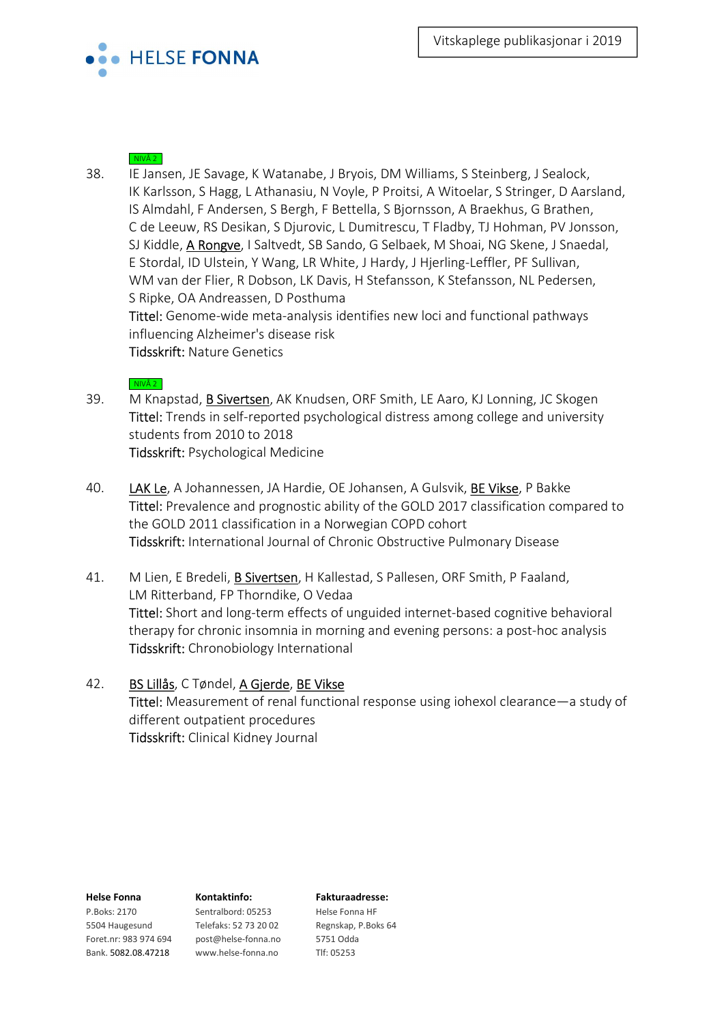

38. IE Jansen, JE Savage, K Watanabe, J Bryois, DM Williams, S Steinberg, J Sealock, IK Karlsson, S Hagg, L Athanasiu, N Voyle, P Proitsi, A Witoelar, S Stringer, D Aarsland, IS Almdahl, F Andersen, S Bergh, F Bettella, S Bjornsson, A Braekhus, G Brathen, C de Leeuw, RS Desikan, S Djurovic, L Dumitrescu, T Fladby, TJ Hohman, PV Jonsson, SJ Kiddle, A Rongve, I Saltvedt, SB Sando, G Selbaek, M Shoai, NG Skene, J Snaedal, E Stordal, ID Ulstein, Y Wang, LR White, J Hardy, J Hjerling-Leffler, PF Sullivan, WM van der Flier, R Dobson, LK Davis, H Stefansson, K Stefansson, NL Pedersen, S Ripke, OA Andreassen, D Posthuma Tittel: Genome-wide meta-analysis identifies new loci and functional pathways influencing Alzheimer's disease risk

Tidsskrift: Nature Genetics

# $NIVÅ 2$

- 39. M Knapstad, B Sivertsen, AK Knudsen, ORF Smith, LE Aaro, KJ Lonning, JC Skogen Tittel: Trends in self-reported psychological distress among college and university students from 2010 to 2018 Tidsskrift: Psychological Medicine
- 40. LAK Le, A Johannessen, JA Hardie, OE Johansen, A Gulsvik, BE Vikse, P Bakke Tittel: Prevalence and prognostic ability of the GOLD 2017 classification compared to the GOLD 2011 classification in a Norwegian COPD cohort Tidsskrift: International Journal of Chronic Obstructive Pulmonary Disease
- 41. M Lien, E Bredeli, **B Sivertsen**, H Kallestad, S Pallesen, ORF Smith, P Faaland, LM Ritterband, FP Thorndike, O Vedaa Tittel: Short and long-term effects of unguided internet-based cognitive behavioral therapy for chronic insomnia in morning and evening persons: a post-hoc analysis Tidsskrift: Chronobiology International
- 42. BS Lillås, C Tøndel, A Gjerde, BE Vikse Tittel: Measurement of renal functional response using iohexol clearance—a study of different outpatient procedures Tidsskrift: Clinical Kidney Journal

5504 Haugesund Telefaks: 52 73 20 02 Regnskap, P.Boks 64 Foret.nr: 983 974 694 post@helse-fonna.no 5751 Odda Bank. 5082.08.47218 www.helse-fonna.no Tlf: 05253

P.Boks: 2170 Sentralbord: 05253 Helse Fonna HF

### Helse Fonna Kontaktinfo: Fakturaadresse: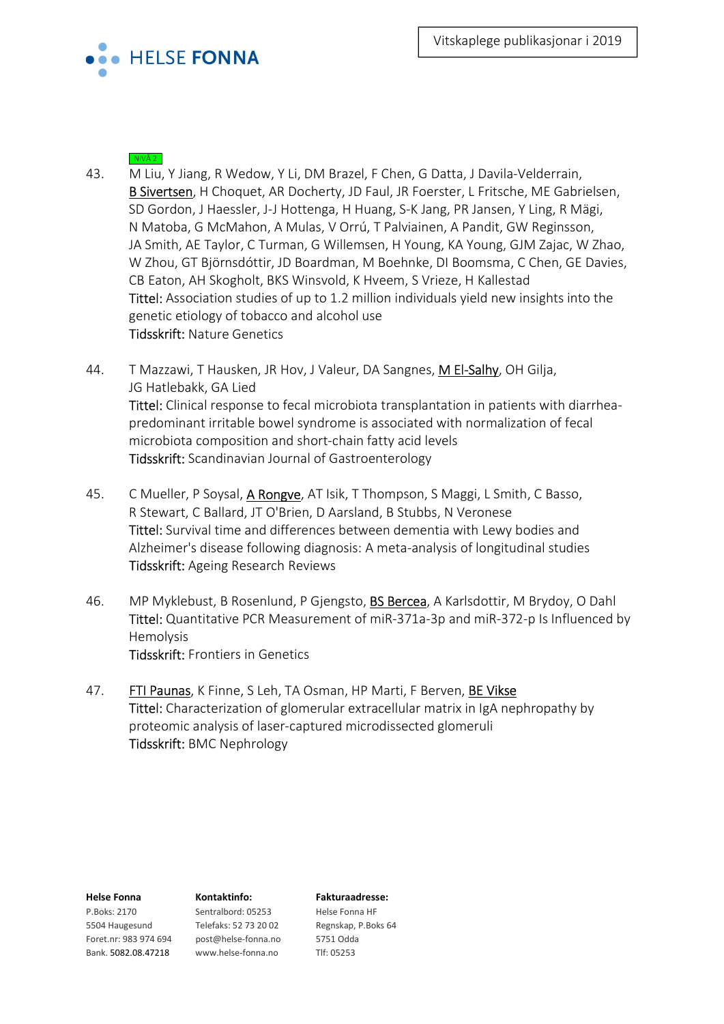

- 43. M Liu, Y Jiang, R Wedow, Y Li, DM Brazel, F Chen, G Datta, J Davila-Velderrain, B Sivertsen, H Choquet, AR Docherty, JD Faul, JR Foerster, L Fritsche, ME Gabrielsen, SD Gordon, J Haessler, J-J Hottenga, H Huang, S-K Jang, PR Jansen, Y Ling, R Mägi, N Matoba, G McMahon, A Mulas, V Orrú, T Palviainen, A Pandit, GW Reginsson, JA Smith, AE Taylor, C Turman, G Willemsen, H Young, KA Young, GJM Zajac, W Zhao, W Zhou, GT Björnsdóttir, JD Boardman, M Boehnke, DI Boomsma, C Chen, GE Davies, CB Eaton, AH Skogholt, BKS Winsvold, K Hveem, S Vrieze, H Kallestad Tittel: Association studies of up to 1.2 million individuals yield new insights into the genetic etiology of tobacco and alcohol use Tidsskrift: Nature Genetics
- 44. T Mazzawi, T Hausken, JR Hov, J Valeur, DA Sangnes, M El-Salhy, OH Gilja, JG Hatlebakk, GA Lied Tittel: Clinical response to fecal microbiota transplantation in patients with diarrheapredominant irritable bowel syndrome is associated with normalization of fecal microbiota composition and short-chain fatty acid levels Tidsskrift: Scandinavian Journal of Gastroenterology
- 45. C Mueller, P Soysal, A Rongve, AT Isik, T Thompson, S Maggi, L Smith, C Basso, R Stewart, C Ballard, JT O'Brien, D Aarsland, B Stubbs, N Veronese Tittel: Survival time and differences between dementia with Lewy bodies and Alzheimer's disease following diagnosis: A meta-analysis of longitudinal studies Tidsskrift: Ageing Research Reviews
- 46. MP Myklebust, B Rosenlund, P Gjengsto, BS Bercea, A Karlsdottir, M Brydoy, O Dahl Tittel: Quantitative PCR Measurement of miR-371a-3p and miR-372-p Is Influenced by Hemolysis Tidsskrift: Frontiers in Genetics
- 47. FTI Paunas, K Finne, S Leh, TA Osman, HP Marti, F Berven, BE Vikse Tittel: Characterization of glomerular extracellular matrix in IgA nephropathy by proteomic analysis of laser-captured microdissected glomeruli Tidsskrift: BMC Nephrology

5504 Haugesund Telefaks: 52 73 20 02 Regnskap, P.Boks 64 Foret.nr: 983 974 694 post@helse-fonna.no 5751 Odda Bank. 5082.08.47218 www.helse-fonna.no Tlf: 05253

P.Boks: 2170 Sentralbord: 05253 Helse Fonna HF

### Helse Fonna Kontaktinfo: Fakturaadresse: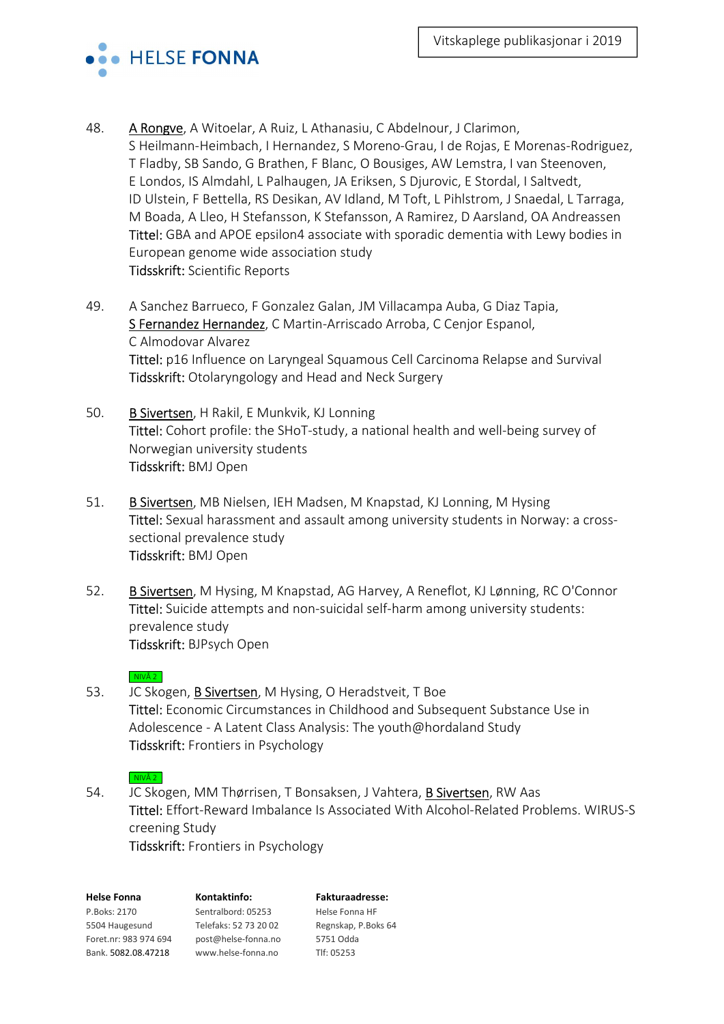

- 48. A Rongve, A Witoelar, A Ruiz, L Athanasiu, C Abdelnour, J Clarimon, S Heilmann-Heimbach, I Hernandez, S Moreno-Grau, I de Rojas, E Morenas-Rodriguez, T Fladby, SB Sando, G Brathen, F Blanc, O Bousiges, AW Lemstra, I van Steenoven, E Londos, IS Almdahl, L Palhaugen, JA Eriksen, S Djurovic, E Stordal, I Saltvedt, ID Ulstein, F Bettella, RS Desikan, AV Idland, M Toft, L Pihlstrom, J Snaedal, L Tarraga, M Boada, A Lleo, H Stefansson, K Stefansson, A Ramirez, D Aarsland, OA Andreassen Tittel: GBA and APOE epsilon4 associate with sporadic dementia with Lewy bodies in European genome wide association study Tidsskrift: Scientific Reports
- 49. A Sanchez Barrueco, F Gonzalez Galan, JM Villacampa Auba, G Diaz Tapia, S Fernandez Hernandez, C Martin-Arriscado Arroba, C Cenjor Espanol, C Almodovar Alvarez Tittel: p16 Influence on Laryngeal Squamous Cell Carcinoma Relapse and Survival Tidsskrift: Otolaryngology and Head and Neck Surgery
- 50. B Sivertsen, H Rakil, E Munkvik, KJ Lonning Tittel: Cohort profile: the SHoT-study, a national health and well-being survey of Norwegian university students Tidsskrift: BMJ Open
- 51. B Sivertsen, MB Nielsen, IEH Madsen, M Knapstad, KJ Lonning, M Hysing Tittel: Sexual harassment and assault among university students in Norway: a crosssectional prevalence study Tidsskrift: BMJ Open
- 52. B Sivertsen, M Hysing, M Knapstad, AG Harvey, A Reneflot, KJ Lønning, RC O'Connor Tittel: Suicide attempts and non-suicidal self-harm among university students: prevalence study Tidsskrift: BJPsych Open

 $\overline{\phantom{a}}$  NIVÅ 2

53. JC Skogen, **B Sivertsen**, M Hysing, O Heradstveit, T Boe Tittel: Economic Circumstances in Childhood and Subsequent Substance Use in Adolescence - A Latent Class Analysis: The youth@hordaland Study Tidsskrift: Frontiers in Psychology

## $NIVÅ 2$

54. JC Skogen, MM Thørrisen, T Bonsaksen, J Vahtera, B Sivertsen, RW Aas Tittel: Effort-Reward Imbalance Is Associated With Alcohol-Related Problems. WIRUS-S creening Study Tidsskrift: Frontiers in Psychology

| <b>Helse Fonna</b>    | Kontaktinfo:          | <b>Fakturaadresse:</b> |
|-----------------------|-----------------------|------------------------|
| P.Boks: 2170          | Sentralbord: 05253    | Helse Fonna HF         |
| 5504 Haugesund        | Telefaks: 52 73 20 02 | Regnskap, P.Boks 64    |
| Foret.nr: 983 974 694 | post@helse-fonna.no   | 5751 Odda              |
| Bank. 5082.08.47218   | www.helse-fonna.no    | Tlf: 05253             |
|                       |                       |                        |